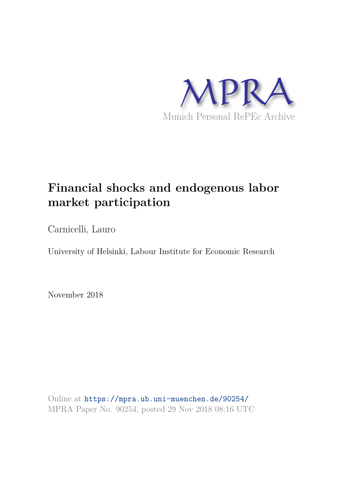

# **Financial shocks and endogenous labor market participation**

Carnicelli, Lauro

University of Helsinki, Labour Institute for Economic Research

November 2018

Online at https://mpra.ub.uni-muenchen.de/90254/ MPRA Paper No. 90254, posted 29 Nov 2018 08:16 UTC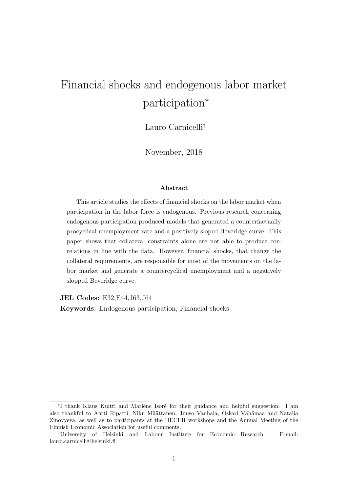# Financial shocks and endogenous labor market participation<sup>∗</sup>

Lauro Carnicelli†

November, 2018

#### Abstract

This article studies the effects of financial shocks on the labor market when participation in the labor force is endogenous. Previous research concerning endogenous participation produced models that generated a counterfactually procyclical unemployment rate and a positively sloped Beveridge curve. This paper shows that collateral constraints alone are not able to produce correlations in line with the data. However, financial shocks, that change the collateral requirements, are responsible for most of the movements on the labor market and generate a countercyclical unemployment and a negatively slopped Beveridge curve.

JEL Codes: E32,E44,J63,J64

Keywords: Endogenous participation, Financial shocks

<sup>\*</sup>I thank Klaus Kultti and Marlène Isoré for their guidance and helpful suggestion. I am also thankful to Antti Ripatti, Niku Määttänen, Juuso Vanhala, Oskari Vähämaa and Natalia Zinovyeva, as well as to participants at the HECER workshops and the Annual Meeting of the Finnish Economic Association for useful comments.

<sup>†</sup>University of Helsinki and Labour Institute for Economic Research. E-mail: lauro.carnicelli@helsinki.fi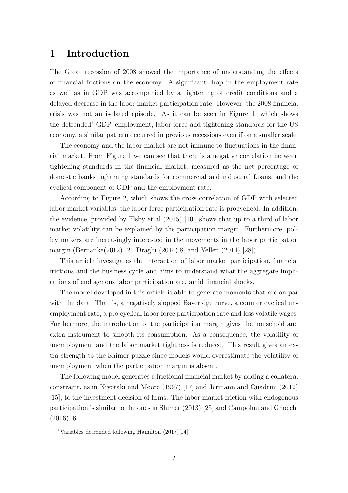### 1 Introduction

The Great recession of 2008 showed the importance of understanding the effects of financial frictions on the economy. A significant drop in the employment rate as well as in GDP was accompanied by a tightening of credit conditions and a delayed decrease in the labor market participation rate. However, the 2008 financial crisis was not an isolated episode. As it can be seen in Figure 1, which shows the detrended<sup>1</sup> GDP, employment, labor force and tightening standards for the US economy, a similar pattern occurred in previous recessions even if on a smaller scale.

The economy and the labor market are not immune to fluctuations in the financial market. From Figure 1 we can see that there is a negative correlation between tightening standards in the financial market, measured as the net percentage of domestic banks tightening standards for commercial and industrial Loans, and the cyclical component of GDP and the employment rate.

According to Figure 2, which shows the cross correlation of GDP with selected labor market variables, the labor force participation rate is procyclical. In addition, the evidence, provided by Elsby et al (2015) [10], shows that up to a third of labor market volatility can be explained by the participation margin. Furthermore, policy makers are increasingly interested in the movements in the labor participation margin (Bernanke(2012) [2], Draghi (2014)[8] and Yellen (2014) [28]).

This article investigates the interaction of labor market participation, financial frictions and the business cycle and aims to understand what the aggregate implications of endogenous labor participation are, amid financial shocks.

The model developed in this article is able to generate moments that are on par with the data. That is, a negatively slopped Baveridge curve, a counter cyclical unemployment rate, a pro cyclical labor force participation rate and less volatile wages. Furthermore, the introduction of the participation margin gives the household and extra instrument to smooth its consumption. As a consequence, the volatility of unemployment and the labor market tightness is reduced. This result gives an extra strength to the Shimer puzzle since models would overestimate the volatility of unemployment when the participation margin is absent.

The following model generates a frictional financial market by adding a collateral constraint, as in Kiyotaki and Moore (1997) [17] and Jermann and Quadrini (2012) [15], to the investment decision of firms. The labor market friction with endogenous participation is similar to the ones in Shimer (2013) [25] and Campolmi and Gnocchi  $(2016)$  [6].

<sup>1</sup>Variables detrended following Hamilton (2017)[14]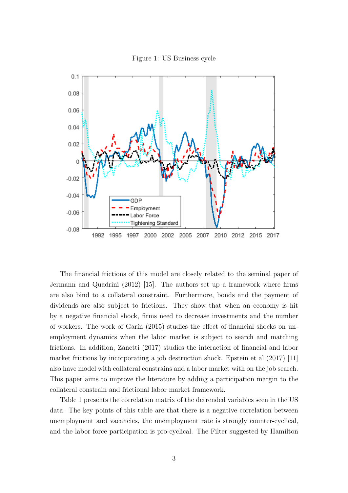



The financial frictions of this model are closely related to the seminal paper of Jermann and Quadrini (2012) [15]. The authors set up a framework where firms are also bind to a collateral constraint. Furthermore, bonds and the payment of dividends are also subject to frictions. They show that when an economy is hit by a negative financial shock, firms need to decrease investments and the number of workers. The work of Garín  $(2015)$  studies the effect of financial shocks on unemployment dynamics when the labor market is subject to search and matching frictions. In addition, Zanetti (2017) studies the interaction of financial and labor market frictions by incorporating a job destruction shock. Epstein et al (2017) [11] also have model with collateral constrains and a labor market with on the job search. This paper aims to improve the literature by adding a participation margin to the collateral constrain and frictional labor market framework.

Table 1 presents the correlation matrix of the detrended variables seen in the US data. The key points of this table are that there is a negative correlation between unemployment and vacancies, the unemployment rate is strongly counter-cyclical, and the labor force participation is pro-cyclical. The Filter suggested by Hamilton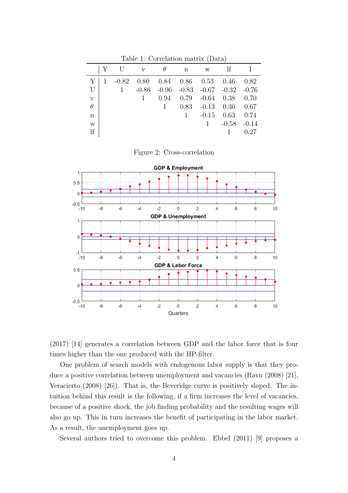|              | Υ | $\mathbf{U}$ | V       | θ       | $\mathbf n$ | W       | <sup>1f</sup> |         |
|--------------|---|--------------|---------|---------|-------------|---------|---------------|---------|
| Υ            |   | $-0.82$      | 0.80    | 0.84    | 0.86        | 0.53    | 0.46          | 0.82    |
| U            |   | $\mathbf{1}$ | $-0.86$ | $-0.96$ | $-0.83$     | $-0.67$ | $-0.32 -0.76$ |         |
| $\mathbf{V}$ |   |              |         | 0.94    | 0.79        | $-0.64$ | 0.38          | 0.70    |
| $\theta$     |   |              |         | 1       | 0.83        | $-0.13$ | 0.36          | 0.67    |
| n            |   |              |         |         | 1           | $-0.15$ | 0.63          | 0.74    |
| W            |   |              |         |         |             | 1       | $-0.58$       | $-0.14$ |
| lf           |   |              |         |         |             |         |               | 0.27    |
|              |   |              |         |         |             |         |               |         |

Table 1: Correlation matrix (Data)

Figure 2: Cross-correlation





One problem of search models with endogenous labor supply is that they produce a positive correlation between unemployment and vacancies (Ravn (2008) [21], Veracierto (2008) [26]). That is, the Beveridge curve is positively sloped. The intuition behind this result is the following, if a firm increases the level of vacancies, because of a positive shock, the job finding probability and the resulting wages will also go up. This in turn increases the benefit of participating in the labor market. As a result, the unemployment goes up.

Several authors tried to overcome this problem. Ebbel (2011) [9] proposes a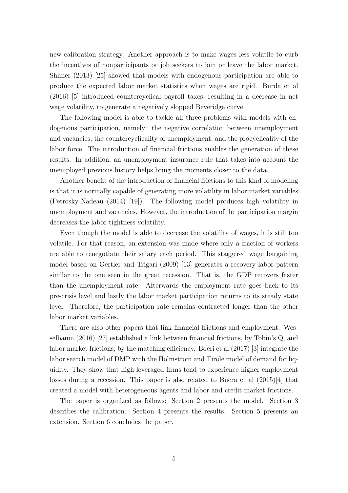new calibration strategy. Another approach is to make wages less volatile to curb the incentives of nonparticipants or job seekers to join or leave the labor market. Shimer (2013) [25] showed that models with endogenous participation are able to produce the expected labor market statistics when wages are rigid. Burda et al (2016) [5] introduced countercyclical payroll taxes, resulting in a decrease in net wage volatility, to generate a negatively slopped Beveridge curve.

The following model is able to tackle all three problems with models with endogenous participation, namely: the negative correlation between unemployment and vacancies; the countercyclicality of unemployment, and the procyclicality of the labor force. The introduction of financial frictions enables the generation of these results. In addition, an unemployment insurance rule that takes into account the unemployed previous history helps bring the moments closer to the data.

Another benefit of the introduction of financial frictions to this kind of modeling is that it is normally capable of generating more volatility in labor market variables (Petrosky-Nadeau (2014) [19]). The following model produces high volatility in unemployment and vacancies. However, the introduction of the participation margin decreases the labor tightness volatility.

Even though the model is able to decrease the volatility of wages, it is still too volatile. For that reason, an extension was made where only a fraction of workers are able to renegotiate their salary each period. This staggered wage bargaining model based on Gertler and Trigari (2009) [13] generates a recovery labor pattern similar to the one seen in the great recession. That is, the GDP recovers faster than the unemployment rate. Afterwards the employment rate goes back to its pre-crisis level and lastly the labor market participation returns to its steady state level. Therefore, the participation rate remains contracted longer than the other labor market variables.

There are also other papers that link financial frictions and employment. Wesselbaum (2016) [27] established a link between financial frictions, by Tobin's Q, and labor market frictions, by the matching efficiency. Boeri et al (2017) [3] integrate the labor search model of DMP with the Holmstrom and Tirole model of demand for liquidity. They show that high leveraged firms tend to experience higher employment losses during a recession. This paper is also related to Buera et al (2015)[4] that created a model with heterogeneous agents and labor and credit market frictions.

The paper is organized as follows: Section 2 presents the model. Section 3 describes the calibration. Section 4 presents the results. Section 5 presents an extension. Section 6 concludes the paper.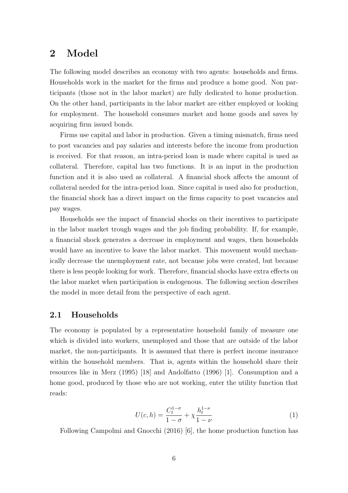### 2 Model

The following model describes an economy with two agents: households and firms. Households work in the market for the firms and produce a home good. Non participants (those not in the labor market) are fully dedicated to home production. On the other hand, participants in the labor market are either employed or looking for employment. The household consumes market and home goods and saves by acquiring firm issued bonds.

Firms use capital and labor in production. Given a timing mismatch, firms need to post vacancies and pay salaries and interests before the income from production is received. For that reason, an intra-period loan is made where capital is used as collateral. Therefore, capital has two functions. It is an input in the production function and it is also used as collateral. A financial shock affects the amount of collateral needed for the intra-period loan. Since capital is used also for production, the financial shock has a direct impact on the firms capacity to post vacancies and pay wages.

Households see the impact of financial shocks on their incentives to participate in the labor market trough wages and the job finding probability. If, for example, a financial shock generates a decrease in employment and wages, then households would have an incentive to leave the labor market. This movement would mechanically decrease the unemployment rate, not because jobs were created, but because there is less people looking for work. Therefore, financial shocks have extra effects on the labor market when participation is endogenous. The following section describes the model in more detail from the perspective of each agent.

#### 2.1 Households

The economy is populated by a representative household family of measure one which is divided into workers, unemployed and those that are outside of the labor market, the non-participants. It is assumed that there is perfect income insurance within the household members. That is, agents within the household share their resources like in Merz (1995) [18] and Andolfatto (1996) [1]. Consumption and a home good, produced by those who are not working, enter the utility function that reads:

$$
U(c, h) = \frac{C_t^{1-\sigma}}{1-\sigma} + \chi \frac{h_t^{1-\nu}}{1-\nu}
$$
 (1)

Following Campolmi and Gnocchi (2016) [6], the home production function has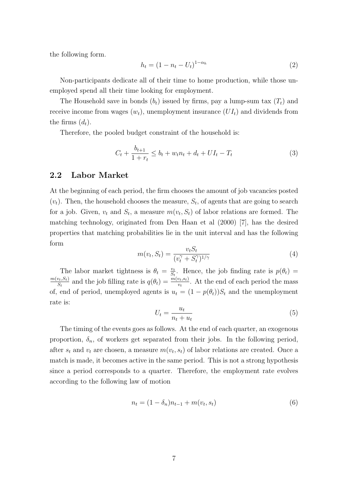the following form.

$$
h_t = (1 - n_t - U_t)^{1 - \alpha_h} \tag{2}
$$

Non-participants dedicate all of their time to home production, while those unemployed spend all their time looking for employment.

The Household save in bonds  $(b_t)$  issued by firms, pay a lump-sum tax  $(T_t)$  and receive income from wages  $(w_t)$ , unemployment insurance  $(UI_t)$  and dividends from the firms  $(d_t)$ .

Therefore, the pooled budget constraint of the household is:

$$
C_t + \frac{b_{t+1}}{1+r_t} \le b_t + w_t n_t + d_t + U I_t - T_t \tag{3}
$$

#### 2.2 Labor Market

At the beginning of each period, the firm chooses the amount of job vacancies posted  $(v_t)$ . Then, the household chooses the measure,  $S_t$ , of agents that are going to search for a job. Given,  $v_t$  and  $S_t$ , a measure  $m(v_t, S_t)$  of labor relations are formed. The matching technology, originated from Den Haan et al (2000) [7], has the desired properties that matching probabilities lie in the unit interval and has the following form

$$
m(v_t, S_t) = \frac{v_t S_t}{(v_t^{\gamma} + S_t^{\gamma})^{1/\gamma}}
$$
\n
$$
\tag{4}
$$

The labor market tightness is  $\theta_t = \frac{v_t}{S_t}$  $\frac{v_t}{S_t}$ . Hence, the job finding rate is  $p(\theta_t) =$  $m(v_t,S_t)$  $\frac{v_t, S_t}{S_t}$  and the job filling rate is  $q(\theta_t) = \frac{m(v_t, s_t)}{v_t}$ . At the end of each period the mass of, end of period, unemployed agents is  $u_t = (1 - p(\theta_t))S_t$  and the unemployment rate is:

$$
U_t = \frac{u_t}{n_t + u_t} \tag{5}
$$

The timing of the events goes as follows. At the end of each quarter, an exogenous proportion,  $\delta_n$ , of workers get separated from their jobs. In the following period, after  $s_t$  and  $v_t$  are chosen, a measure  $m(v_t, s_t)$  of labor relations are created. Once a match is made, it becomes active in the same period. This is not a strong hypothesis since a period corresponds to a quarter. Therefore, the employment rate evolves according to the following law of motion

$$
n_t = (1 - \delta_n) n_{t-1} + m(v_t, s_t)
$$
\n(6)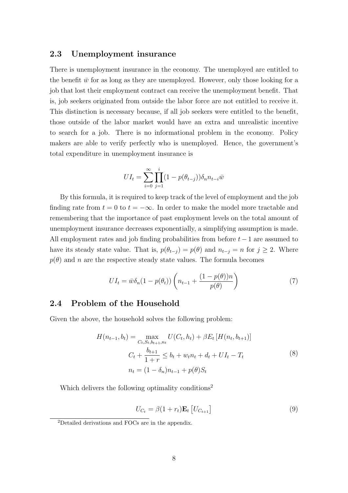#### 2.3 Unemployment insurance

There is unemployment insurance in the economy. The unemployed are entitled to the benefit  $\bar{w}$  for as long as they are unemployed. However, only those looking for a job that lost their employment contract can receive the unemployment benefit. That is, job seekers originated from outside the labor force are not entitled to receive it. This distinction is necessary because, if all job seekers were entitled to the benefit, those outside of the labor market would have an extra and unrealistic incentive to search for a job. There is no informational problem in the economy. Policy makers are able to verify perfectly who is unemployed. Hence, the government's total expenditure in unemployment insurance is

$$
UI_t = \sum_{i=0}^{\infty} \prod_{j=1}^{i} (1 - p(\theta_{t-j})) \delta_n n_{t-i} \bar{w}
$$

By this formula, it is required to keep track of the level of employment and the job finding rate from  $t = 0$  to  $t = -\infty$ . In order to make the model more tractable and remembering that the importance of past employment levels on the total amount of unemployment insurance decreases exponentially, a simplifying assumption is made. All employment rates and job finding probabilities from before  $t-1$  are assumed to have its steady state value. That is,  $p(\theta_{t-j}) = p(\theta)$  and  $n_{t-j} = n$  for  $j \geq 2$ . Where  $p(\theta)$  and n are the respective steady state values. The formula becomes

$$
UI_t = \bar{w}\delta_n(1 - p(\theta_t))\left(n_{t-1} + \frac{(1 - p(\theta))n}{p(\theta)}\right)
$$
\n
$$
(7)
$$

#### 2.4 Problem of the Household

Given the above, the household solves the following problem:

$$
H(n_{t-1}, b_t) = \max_{C_t, S_t, b_{t+1}, n_t} U(C_t, h_t) + \beta E_t [H(n_t, b_{t+1})]
$$
  

$$
C_t + \frac{b_{t+1}}{1+r} \le b_t + w_t n_t + d_t + U I_t - T_t
$$
  

$$
n_t = (1 - \delta_n) n_{t-1} + p(\theta) S_t
$$
 (8)

Which delivers the following optimality conditions<sup>2</sup>

$$
U_{C_t} = \beta (1 + r_t) \mathbf{E}_t \left[ U_{C_{t+1}} \right] \tag{9}
$$

<sup>2</sup>Detailed derivations and FOCs are in the appendix.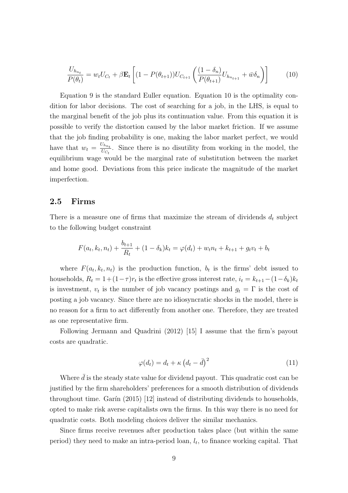$$
\frac{U_{h_{n_t}}}{P(\theta_t)} = w_t U_{C_t} + \beta \mathbf{E}_t \left[ (1 - P(\theta_{t+1})) U_{C_{t+1}} \left( \frac{(1 - \delta_n)}{P(\theta_{t+1})} U_{h_{n_{t+1}}} + \bar{w} \delta_n \right) \right]
$$
(10)

Equation 9 is the standard Euller equation. Equation 10 is the optimality condition for labor decisions. The cost of searching for a job, in the LHS, is equal to the marginal benefit of the job plus its continuation value. From this equation it is possible to verify the distortion caused by the labor market friction. If we assume that the job finding probability is one, making the labor market perfect, we would have that  $w_t = \frac{U_{h_{n_t}}}{U_{C_t}}$  $\frac{U_{n_{n_t}}}{U_{C_t}}$ . Since there is no disutility from working in the model, the equilibrium wage would be the marginal rate of substitution between the market and home good. Deviations from this price indicate the magnitude of the market imperfection.

### 2.5 Firms

There is a measure one of firms that maximize the stream of dividends  $d_t$  subject to the following budget constraint

$$
F(a_t, k_t, n_t) + \frac{b_{t+1}}{R_t} + (1 - \delta_k)k_t = \varphi(d_t) + w_t n_t + k_{t+1} + g_t v_t + b_t
$$

where  $F(a_t, k_t, n_t)$  is the production function,  $b_t$  is the firms' debt issued to households,  $R_t = 1 + (1 - \tau)r_t$  is the effective gross interest rate,  $i_t = k_{t+1} - (1 - \delta_k)k_t$ is investment,  $v_t$  is the number of job vacancy postings and  $g_t = \Gamma$  is the cost of posting a job vacancy. Since there are no idiosyncratic shocks in the model, there is no reason for a firm to act differently from another one. Therefore, they are treated as one representative firm.

Following Jermann and Quadrini (2012) [15] I assume that the firm's payout costs are quadratic.

$$
\varphi(d_t) = d_t + \kappa \left(d_t - \bar{d}\right)^2 \tag{11}
$$

Where  $\bar{d}$  is the steady state value for dividend payout. This quadratic cost can be justified by the firm shareholders' preferences for a smooth distribution of dividends throughout time. Garín  $(2015)$  [12] instead of distributing dividends to households, opted to make risk averse capitalists own the firms. In this way there is no need for quadratic costs. Both modeling choices deliver the similar mechanics.

Since firms receive revenues after production takes place (but within the same period) they need to make an intra-period loan,  $l_t$ , to finance working capital. That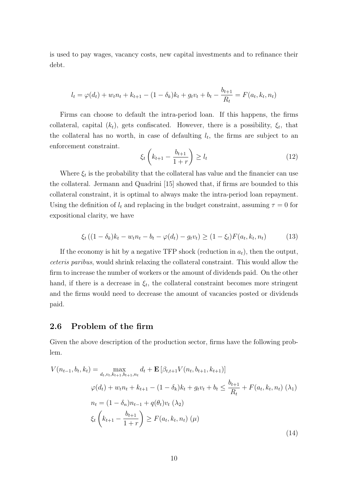is used to pay wages, vacancy costs, new capital investments and to refinance their debt.

$$
l_t = \varphi(d_t) + w_t n_t + k_{t+1} - (1 - \delta_k) k_t + g_t v_t + b_t - \frac{b_{t+1}}{R_t} = F(a_t, k_t, n_t)
$$

Firms can choose to default the intra-period loan. If this happens, the firms collateral, capital  $(k_t)$ , gets confiscated. However, there is a possibility,  $\xi_t$ , that the collateral has no worth, in case of defaulting  $l_t$ , the firms are subject to an enforcement constraint.

$$
\xi_t \left( k_{t+1} - \frac{b_{t+1}}{1+r} \right) \ge l_t \tag{12}
$$

Where  $\xi_t$  is the probability that the collateral has value and the financier can use the collateral. Jermann and Quadrini [15] showed that, if firms are bounded to this collateral constraint, it is optimal to always make the intra-period loan repayment. Using the definition of  $l_t$  and replacing in the budget constraint, assuming  $\tau = 0$  for expositional clarity, we have

$$
\xi_t ((1 - \delta_k)k_t - w_t n_t - b_t - \varphi(d_t) - g_t v_t) \ge (1 - \xi_t) F(a_t, k_t, n_t)
$$
(13)

If the economy is hit by a negative TFP shock (reduction in  $a_t$ ), then the output, ceteris paribus, would shrink relaxing the collateral constraint. This would allow the firm to increase the number of workers or the amount of dividends paid. On the other hand, if there is a decrease in  $\xi_t$ , the collateral constraint becomes more stringent and the firms would need to decrease the amount of vacancies posted or dividends paid.

#### 2.6 Problem of the firm

Given the above description of the production sector, firms have the following problem.

$$
V(n_{t-1}, b_t, k_t) = \max_{d_t, v_t, k_{t+1}, b_{t+1}, n_t} d_t + \mathbf{E} \left[ \beta_{t,t+1} V(n_t, b_{t+1}, k_{t+1}) \right]
$$
  
\n
$$
\varphi(d_t) + w_t n_t + k_{t+1} - (1 - \delta_k) k_t + g_t v_t + b_t \le \frac{b_{t+1}}{R_t} + F(a_t, k_t, n_t) \quad (\lambda_1)
$$
  
\n
$$
n_t = (1 - \delta_n) n_{t-1} + q(\theta_t) v_t \quad (\lambda_2)
$$
  
\n
$$
\xi_t \left( k_{t+1} - \frac{b_{t+1}}{1+r} \right) \ge F(a_t, k_t, n_t) \quad (\mu)
$$
  
\n(14)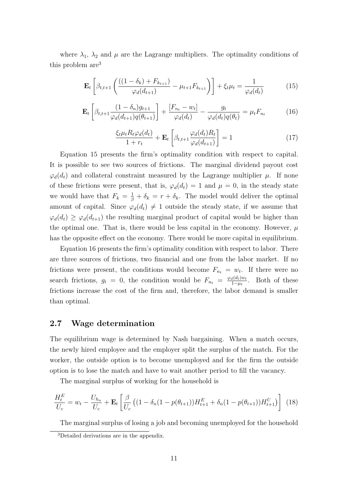where  $\lambda_1$ ,  $\lambda_2$  and  $\mu$  are the Lagrange multipliers. The optimality conditions of this problem are<sup>3</sup>

$$
\mathbf{E}_{t}\left[\beta_{t,t+1}\left(\frac{((1-\delta_{k})+F_{k_{t+1}})}{\varphi_{d}(d_{t+1})}-\mu_{t+1}F_{k_{t+1}}\right)\right]+\xi_{t}\mu_{t}=\frac{1}{\varphi_{d}(d_{t})}
$$
(15)

$$
\mathbf{E}_{t}\left[\beta_{t,t+1}\frac{(1-\delta_{n})g_{t+1}}{\varphi_{d}(d_{t+1})q(\theta_{t+1})}\right] + \frac{[F_{n_{t}}-w_{t}]}{\varphi_{d}(d_{t})} - \frac{g_{t}}{\varphi_{d}(d_{t})q(\theta_{t})} = \mu_{t}F_{n_{t}}
$$
(16)

$$
\frac{\xi_t \mu_t R_t \varphi_d(d_t)}{1 + r_t} + \mathbf{E}_t \left[ \beta_{t,t+1} \frac{\varphi_d(d_t) R_t}{\varphi_d(d_{t+1})} \right] = 1 \tag{17}
$$

Equation 15 presents the firm's optimality condition with respect to capital. It is possible to see two sources of frictions. The marginal dividend payout cost  $\varphi_d(d_t)$  and collateral constraint measured by the Lagrange multiplier  $\mu$ . If none of these frictions were present, that is,  $\varphi_d(d_t) = 1$  and  $\mu = 0$ , in the steady state we would have that  $F_k = \frac{1}{\beta} + \delta_k = r + \delta_k$ . The model would deliver the optimal amount of capital. Since  $\varphi_d(d_t) \neq 1$  outside the steady state, if we assume that  $\varphi_d(d_t) \geq \varphi_d(d_{t+1})$  the resulting marginal product of capital would be higher than the optimal one. That is, there would be less capital in the economy. However,  $\mu$ has the opposite effect on the economy. There would be more capital in equilibrium.

Equation 16 presents the firm's optimality condition with respect to labor. There are three sources of frictions, two financial and one from the labor market. If no frictions were present, the conditions would become  $F_{n_t} = w_t$ . If there were no search frictions,  $g_t = 0$ , the condition would be  $F_{n_t} = \frac{\varphi_d(d_t)w_t}{1 - u_t}$  $\frac{d(a_t)w_t}{1-\mu_t}$ . Both of these frictions increase the cost of the firm and, therefore, the labor demand is smaller than optimal.

#### 2.7 Wage determination

The equilibrium wage is determined by Nash bargaining. When a match occurs, the newly hired employee and the employer split the surplus of the match. For the worker, the outside option is to become unemployed and for the firm the outside option is to lose the match and have to wait another period to fill the vacancy.

The marginal surplus of working for the household is

$$
\frac{H_t^E}{U_c} = w_t - \frac{U_{h_n}}{U_c} + \mathbf{E}_t \left[ \frac{\beta}{U_c} \left( (1 - \delta_n (1 - p(\theta_{t+1})) H_{t+1}^E + \delta_n (1 - p(\theta_{t+1})) H_{t+1}^U \right) \right] (18)
$$

The marginal surplus of losing a job and becoming unemployed for the household

<sup>3</sup>Detailed derivations are in the appendix.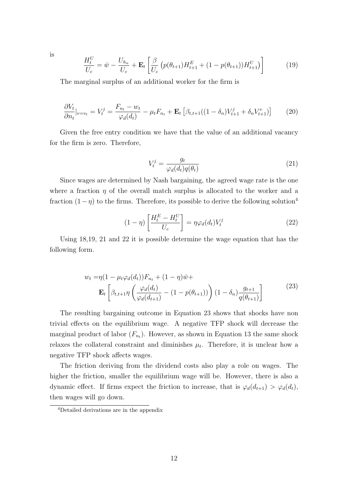$$
\frac{H_t^U}{U_c} = \bar{w} - \frac{U_{h_n}}{U_c} + \mathbf{E}_t \left[ \frac{\beta}{U_c} \left( p(\theta_{t+1}) H_{t+1}^E + (1 - p(\theta_{t+1})) H_{t+1}^U \right) \right]
$$
(19)

The marginal surplus of an additional worker for the firm is

$$
\frac{\partial V_t}{\partial n_t}|_{v=v_t} = V_t^j = \frac{F_{n_t} - w_t}{\varphi_d(d_t)} - \mu_t F_{n_t} + \mathbf{E}_t \left[ \beta_{t,t+1}((1 - \delta_n)V_{t+1}^j + \delta_n V_{t+1}^v) \right] \tag{20}
$$

Given the free entry condition we have that the value of an additional vacancy for the firm is zero. Therefore,

$$
V_t^j = \frac{g_t}{\varphi_d(d_t)q(\theta_t)}\tag{21}
$$

Since wages are determined by Nash bargaining, the agreed wage rate is the one where a fraction  $\eta$  of the overall match surplus is allocated to the worker and a fraction  $(1-\eta)$  to the firms. Therefore, its possible to derive the following solution<sup>4</sup>

$$
(1 - \eta) \left[ \frac{H_t^E - H_t^U}{U_c} \right] = \eta \varphi_d(d_t) V_t^j \tag{22}
$$

Using 18,19, 21 and 22 it is possible determine the wage equation that has the following form.

$$
w_t = \eta (1 - \mu_t \varphi_d(d_t)) F_{n_t} + (1 - \eta) \bar{w} +
$$
  

$$
\mathbf{E}_t \left[ \beta_{t, t+1} \eta \left( \frac{\varphi_d(d_t)}{\varphi_d(d_{t+1})} - (1 - p(\theta_{t+1})) \right) (1 - \delta_n) \frac{g_{t+1}}{q(\theta_{t+1})} \right]
$$
(23)

The resulting bargaining outcome in Equation 23 shows that shocks have non trivial effects on the equilibrium wage. A negative TFP shock will decrease the marginal product of labor  $(F_{n_t})$ . However, as shown in Equation 13 the same shock relaxes the collateral constraint and diminishes  $\mu_t$ . Therefore, it is unclear how a negative TFP shock affects wages.

The friction deriving from the dividend costs also play a role on wages. The higher the friction, smaller the equilibrium wage will be. However, there is also a dynamic effect. If firms expect the friction to increase, that is  $\varphi_d(d_{t+1}) > \varphi_d(d_t)$ , then wages will go down.

is

<sup>4</sup>Detailed derivations are in the appendix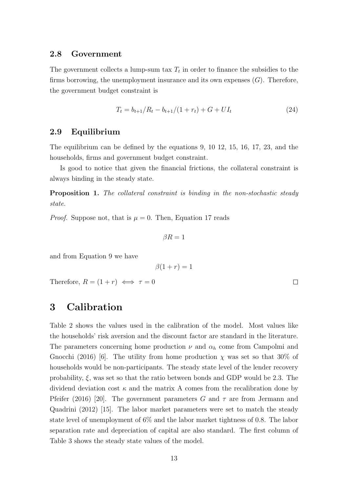#### 2.8 Government

The government collects a lump-sum tax  $T_t$  in order to finance the subsidies to the firms borrowing, the unemployment insurance and its own expenses  $(G)$ . Therefore, the government budget constraint is

$$
T_t = b_{t+1}/R_t - b_{t+1}/(1+r_t) + G + UI_t \tag{24}
$$

 $\Box$ 

#### 2.9 Equilibrium

The equilibrium can be defined by the equations 9, 10 12, 15, 16, 17, 23, and the households, firms and government budget constraint.

Is good to notice that given the financial frictions, the collateral constraint is always binding in the steady state.

Proposition 1. The collateral constraint is binding in the non-stochastic steady state.

*Proof.* Suppose not, that is  $\mu = 0$ . Then, Equation 17 reads

$$
\beta R=1
$$

and from Equation 9 we have

 $\beta(1+r) = 1$ 

Therefore,  $R = (1+r) \iff \tau = 0$ 

### 3 Calibration

Table 2 shows the values used in the calibration of the model. Most values like the households' risk aversion and the discount factor are standard in the literature. The parameters concerning home production  $\nu$  and  $\alpha_h$  come from Campolmi and Gnocchi (2016) [6]. The utility from home production  $\chi$  was set so that 30% of households would be non-participants. The steady state level of the lender recovery probability,  $\xi$ , was set so that the ratio between bonds and GDP would be 2.3. The dividend deviation cost  $\kappa$  and the matrix A comes from the recalibration done by Pfeifer (2016) [20]. The government parameters G and  $\tau$  are from Jermann and Quadrini (2012) [15]. The labor market parameters were set to match the steady state level of unemployment of 6% and the labor market tightness of 0.8. The labor separation rate and depreciation of capital are also standard. The first column of Table 3 shows the steady state values of the model.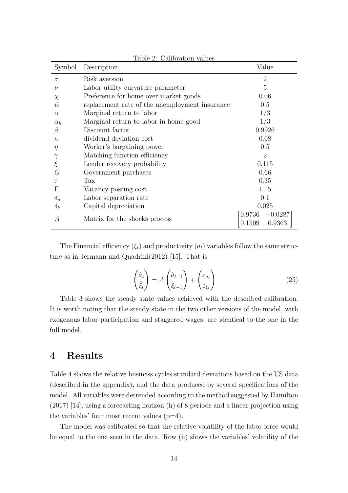| Symbol     | rable 2. Calibration values<br>Description     | Value                                 |
|------------|------------------------------------------------|---------------------------------------|
| $\sigma$   | Risk aversion                                  | $\overline{2}$                        |
| $\nu$      | Labor utility curvature parameter              | 5                                     |
| $\chi$     | Preference for home over market goods          | 0.06                                  |
| $\bar{w}$  | replacement rate of the unemployment insurance | 0.5                                   |
| $\alpha$   | Marginal return to labor                       | 1/3                                   |
| $\alpha_h$ | Marginal return to labor in home good          | 1/3                                   |
| В          | Discount factor                                | 0.9926                                |
| $\kappa$   | dividend deviation cost                        | 0.08                                  |
| $\eta$     | Worker's bargaining power                      | 0.5                                   |
|            | Matching function efficiency                   | $\overline{2}$                        |
| ξ          | Lender recovery probability                    | 0.115                                 |
| G          | Government purchases                           | 0.66                                  |
| $\tau$     | Tax                                            | 0.35                                  |
|            | Vacancy posting cost                           | 1.15                                  |
| $\delta_n$ | Labor separation rate                          | 0.1                                   |
| $\delta_k$ | Capital depreciation                           | 0.025                                 |
| A          | Matrix for the shocks process                  | $0.9736 - 0.0287$<br>0.1509<br>0.9363 |

Table 2: Calibration values

The Financial efficiency  $(\xi_t)$  and productivity  $(a_t)$  variables follow the same structure as in Jermann and Quadrini(2012) [15]. That is

$$
\begin{pmatrix} \hat{a}_t \\ \hat{\xi}_t \end{pmatrix} = A \begin{pmatrix} \hat{a}_{t-1} \\ \hat{\xi}_{t-1} \end{pmatrix} + \begin{pmatrix} \varepsilon_{a_t} \\ \varepsilon_{\xi_t} \end{pmatrix}
$$
(25)

Table 3 shows the steady state values achieved with the described calibration. It is worth noting that the steady state in the two other versions of the model, with exogenous labor participation and staggered wages, are identical to the one in the full model.

### 4 Results

Table 4 shows the relative business cycles standard deviations based on the US data (described in the appendix), and the data produced by several specifications of the model. All variables were detrended according to the method suggested by Hamilton (2017) [14], using a forecasting horizon (h) of 8 periods and a linear projection using the variables' four most recent values  $(p=4)$ .

The model was calibrated so that the relative volatility of the labor force would be equal to the one seen in the data. Row (ii) shows the variables' volatility of the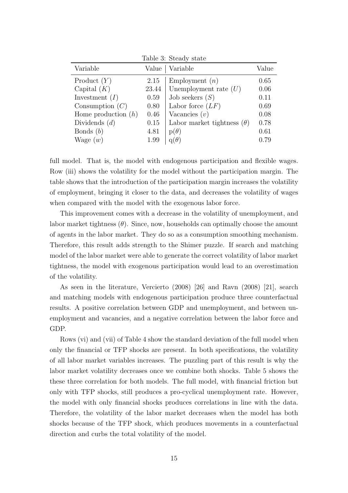| Table 3: Steady state |       |                                   |       |  |  |  |  |
|-----------------------|-------|-----------------------------------|-------|--|--|--|--|
| Variable              | Value | Variable                          | Value |  |  |  |  |
| Product $(Y)$         | 2.15  | Employment $(n)$                  | 0.65  |  |  |  |  |
| Capital $(K)$         | 23.44 | Unemployment rate $(U)$           | 0.06  |  |  |  |  |
| Investment $(I)$      | 0.59  | Job seekers $(S)$                 | 0.11  |  |  |  |  |
| Consumption $(C)$     | 0.80  | Labor force $(LF)$                | 0.69  |  |  |  |  |
| Home production $(h)$ | 0.46  | Vacancies $(v)$                   | 0.08  |  |  |  |  |
| Dividends $(d)$       | 0.15  | Labor market tightness $(\theta)$ | 0.78  |  |  |  |  |
| Bonds $(b)$           | 4.81  | $p(\theta)$                       | 0.61  |  |  |  |  |
| Wage $(w)$            | 1.99  | $q(\theta)$                       | 0.79  |  |  |  |  |

full model. That is, the model with endogenous participation and flexible wages. Row (iii) shows the volatility for the model without the participation margin. The table shows that the introduction of the participation margin increases the volatility of employment, bringing it closer to the data, and decreases the volatility of wages when compared with the model with the exogenous labor force.

This improvement comes with a decrease in the volatility of unemployment, and labor market tightness  $(\theta)$ . Since, now, households can optimally choose the amount of agents in the labor market. They do so as a consumption smoothing mechanism. Therefore, this result adds strength to the Shimer puzzle. If search and matching model of the labor market were able to generate the correct volatility of labor market tightness, the model with exogenous participation would lead to an overestimation of the volatility.

As seen in the literature, Vercierto (2008) [26] and Ravn (2008) [21], search and matching models with endogenous participation produce three counterfactual results. A positive correlation between GDP and unemployment, and between unemployment and vacancies, and a negative correlation between the labor force and GDP.

Rows (vi) and (vii) of Table 4 show the standard deviation of the full model when only the financial or TFP shocks are present. In both specifications, the volatility of all labor market variables increases. The puzzling part of this result is why the labor market volatility decreases once we combine both shocks. Table 5 shows the these three correlation for both models. The full model, with financial friction but only with TFP shocks, still produces a pro-cyclical unemployment rate. However, the model with only financial shocks produces correlations in line with the data. Therefore, the volatility of the labor market decreases when the model has both shocks because of the TFP shock, which produces movements in a counterfactual direction and curbs the total volatility of the model.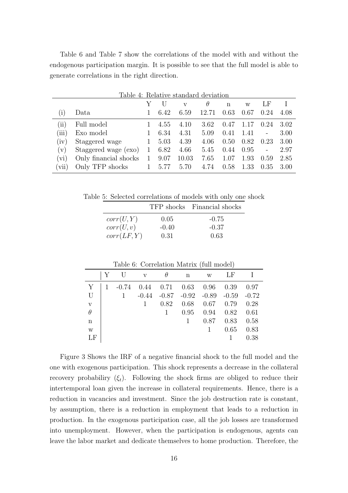Table 6 and Table 7 show the correlations of the model with and without the endogenous participation margin. It is possible to see that the full model is able to generate correlations in the right direction.

 $T$ 

|                            | Table 4: Relative standard deviation |   |      |       |          |        |      |      |      |  |
|----------------------------|--------------------------------------|---|------|-------|----------|--------|------|------|------|--|
|                            |                                      |   |      | V     | $\theta$ | n      | w    | LF   |      |  |
| $\left(1\right)$           | Data                                 |   | 6.42 | 6.59  | 12.71    | 0.63   | 0.67 | 0.24 | 4.08 |  |
| $\left(\mathrm{ii}\right)$ | Full model                           |   | 4.55 | 4.10  | 3.62     | 0.47   | 1.17 | 0.24 | 3.02 |  |
| (iii)                      | Exo model                            |   | 6.34 | 4.31  | 5.09     | 0.41   | 1.41 |      | 3.00 |  |
| (iv)                       | Staggered wage                       |   | 5.03 | 4.39  | 4.06     | (0.50) | 0.82 | 0.23 | 3.00 |  |
| $(\rm v)$                  | Staggered wage (exo)                 |   | 6.82 | 4.66  | 5.45     | 0.44   | 0.95 |      | 2.97 |  |
| (vi)                       | Only financial shocks                | 1 | 9.07 | 10.03 | 7.65     | 1.07   | 1.93 | 0.59 | 2.85 |  |
| [vii]                      | Only TFP shocks                      |   | 5.77 | 5.70  | 4.74     | 0.58   | 1.33 | 0.35 | 3.00 |  |

Table 5: Selected correlations of models with only one shock

|             |         | TFP shocks Financial shocks |
|-------------|---------|-----------------------------|
| corr(U, Y)  | 0.05    | $-0.75$                     |
| corr(U, v)  | $-0.40$ | $-0.37$                     |
| corr(LF, Y) | 0.31    | 0.63                        |

|                         | Table 6: Correlation Matrix (full model) |         |              |         |         |         |         |         |  |  |  |
|-------------------------|------------------------------------------|---------|--------------|---------|---------|---------|---------|---------|--|--|--|
|                         | Y                                        |         | $\mathbf{V}$ | θ       | n       | W       | LF      |         |  |  |  |
| Y                       |                                          | $-0.74$ | 0.44         | 0.71    | 0.63    | 0.96    | 0.39    | 0.97    |  |  |  |
| U                       |                                          |         | $-0.44$      | $-0.87$ | $-0.92$ | $-0.89$ | $-0.59$ | $-0.72$ |  |  |  |
| $\overline{\mathbf{V}}$ |                                          |         |              | 0.82    | 0.68    | 0.67    | 0.79    | 0.28    |  |  |  |
| $\theta$                |                                          |         |              |         | 0.95    | 0.94    | 0.82    | 0.61    |  |  |  |
| n                       |                                          |         |              |         |         | 0.87    | 0.83    | 0.58    |  |  |  |
| W                       |                                          |         |              |         |         |         | 0.65    | 0.83    |  |  |  |
| L F                     |                                          |         |              |         |         |         |         | 0.38    |  |  |  |

Figure 3 Shows the IRF of a negative financial shock to the full model and the one with exogenous participation. This shock represents a decrease in the collateral recovery probabiliry  $(\xi_t)$ . Following the shock firms are obliged to reduce their intertemporal loan given the increase in collateral requirements. Hence, there is a reduction in vacancies and investment. Since the job destruction rate is constant, by assumption, there is a reduction in employment that leads to a reduction in production. In the exogenous participation case, all the job losses are transformed into unemployment. However, when the participation is endogenous, agents can leave the labor market and dedicate themselves to home production. Therefore, the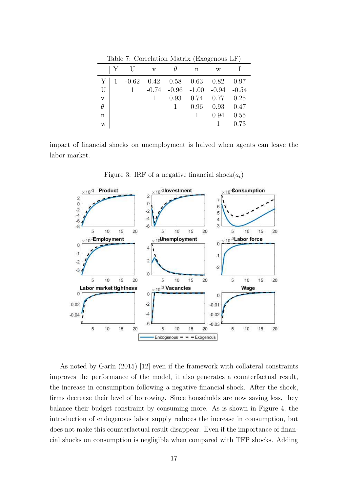|              | Y            | $\mathbf{V}$ |      | n    | W                                       |      |
|--------------|--------------|--------------|------|------|-----------------------------------------|------|
| Y            | $\mathbf{1}$ |              |      |      | $-0.62$ 0.42 0.58 0.63 0.82 0.97        |      |
| U            |              |              |      |      | $-0.74$ $-0.96$ $-1.00$ $-0.94$ $-0.54$ |      |
| $\mathbf{V}$ |              | 1            | 0.93 |      | $0.74$ $0.77$ $0.25$                    |      |
| $\theta$     |              |              |      | 0.96 | $0.93$ $0.47$                           |      |
| n            |              |              |      |      | 0.94                                    | 0.55 |
| W            |              |              |      |      |                                         | 0.73 |

Table 7: Correlation Matrix (Exogenous LF)

impact of financial shocks on unemployment is halved when agents can leave the labor market.



Figure 3: IRF of a negative financial shock $(a_t)$ 

As noted by Garín  $(2015)$  [12] even if the framework with collateral constraints improves the performance of the model, it also generates a counterfactual result, the increase in consumption following a negative financial shock. After the shock, firms decrease their level of borrowing. Since households are now saving less, they balance their budget constraint by consuming more. As is shown in Figure 4, the introduction of endogenous labor supply reduces the increase in consumption, but does not make this counterfactual result disappear. Even if the importance of financial shocks on consumption is negligible when compared with TFP shocks. Adding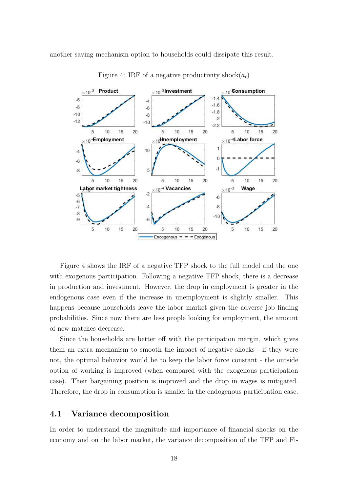another saving mechanism option to households could dissipate this result.



Figure 4: IRF of a negative productivity shock $(a_t)$ 

Figure 4 shows the IRF of a negative TFP shock to the full model and the one with exogenous participation. Following a negative TFP shock, there is a decrease in production and investment. However, the drop in employment is greater in the endogenous case even if the increase in unemployment is slightly smaller. This happens because households leave the labor market given the adverse job finding probabilities. Since now there are less people looking for employment, the amount of new matches decrease.

Since the households are better off with the participation margin, which gives them an extra mechanism to smooth the impact of negative shocks - if they were not, the optimal behavior would be to keep the labor force constant - the outside option of working is improved (when compared with the exogenous participation case). Their bargaining position is improved and the drop in wages is mitigated. Therefore, the drop in consumption is smaller in the endogenous participation case.

#### 4.1 Variance decomposition

In order to understand the magnitude and importance of financial shocks on the economy and on the labor market, the variance decomposition of the TFP and Fi-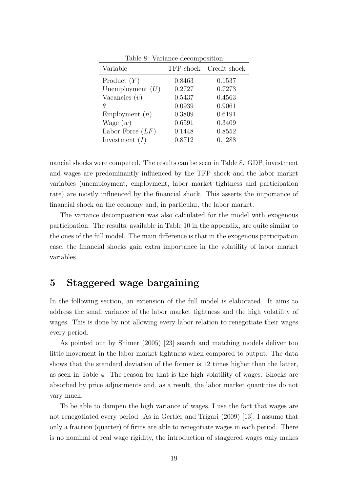| Variable           |        | TFP shock Credit shock |
|--------------------|--------|------------------------|
| Product $(Y)$      | 0.8463 | 0.1537                 |
| Unemployment $(U)$ | 0.2727 | 0.7273                 |
| Vacancies $(v)$    | 0.5437 | 0.4563                 |
| Ĥ                  | 0.0939 | 0.9061                 |
| Employment $(n)$   | 0.3809 | 0.6191                 |
| Wage $(w)$         | 0.6591 | 0.3409                 |
| Labor Force $(LF)$ | 0.1448 | 0.8552                 |
| Investment $(I)$   | 0.8712 | 0.1288                 |

Table 8: Variance decomposition

nancial shocks were computed. The results can be seen in Table 8. GDP, investment and wages are predominantly influenced by the TFP shock and the labor market variables (unemployment, employment, labor market tightness and participation rate) are mostly influenced by the financial shock. This asserts the importance of financial shock on the economy and, in particular, the labor market.

The variance decomposition was also calculated for the model with exogenous participation. The results, available in Table 10 in the appendix, are quite similar to the ones of the full model. The main difference is that in the exogenous participation case, the financial shocks gain extra importance in the volatility of labor market variables.

### 5 Staggered wage bargaining

In the following section, an extension of the full model is elaborated. It aims to address the small variance of the labor market tightness and the high volatility of wages. This is done by not allowing every labor relation to renegotiate their wages every period.

As pointed out by Shimer (2005) [23] search and matching models deliver too little movement in the labor market tightness when compared to output. The data shows that the standard deviation of the former is 12 times higher than the latter, as seen in Table 4. The reason for that is the high volatility of wages. Shocks are absorbed by price adjustments and, as a result, the labor market quantities do not vary much.

To be able to dampen the high variance of wages, I use the fact that wages are not renegotiated every period. As in Gertler and Trigari (2009) [13], I assume that only a fraction (quarter) of firms are able to renegotiate wages in each period. There is no nominal of real wage rigidity, the introduction of staggered wages only makes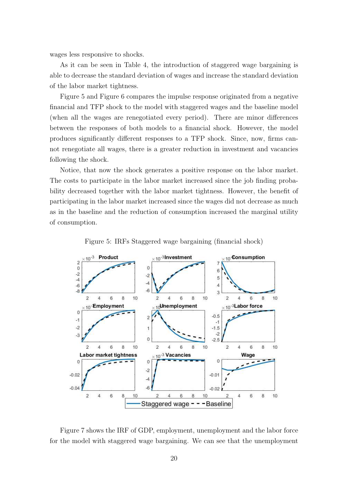wages less responsive to shocks.

As it can be seen in Table 4, the introduction of staggered wage bargaining is able to decrease the standard deviation of wages and increase the standard deviation of the labor market tightness.

Figure 5 and Figure 6 compares the impulse response originated from a negative financial and TFP shock to the model with staggered wages and the baseline model (when all the wages are renegotiated every period). There are minor differences between the responses of both models to a financial shock. However, the model produces significantly different responses to a TFP shock. Since, now, firms cannot renegotiate all wages, there is a greater reduction in investment and vacancies following the shock.

Notice, that now the shock generates a positive response on the labor market. The costs to participate in the labor market increased since the job finding probability decreased together with the labor market tightness. However, the benefit of participating in the labor market increased since the wages did not decrease as much as in the baseline and the reduction of consumption increased the marginal utility of consumption.



Figure 5: IRFs Staggered wage bargaining (financial shock)

Figure 7 shows the IRF of GDP, employment, unemployment and the labor force for the model with staggered wage bargaining. We can see that the unemployment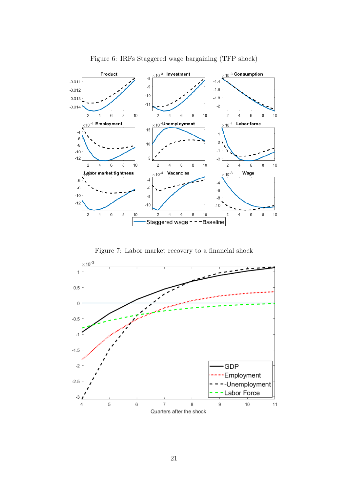

Figure 6: IRFs Staggered wage bargaining (TFP shock)

Figure 7: Labor market recovery to a financial shock

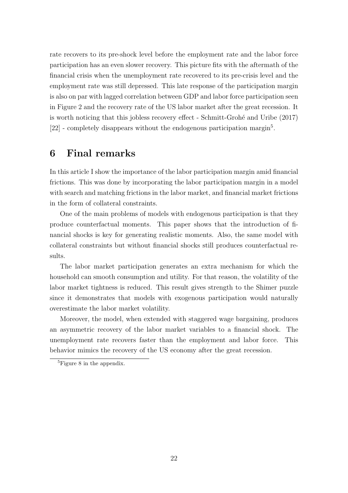rate recovers to its pre-shock level before the employment rate and the labor force participation has an even slower recovery. This picture fits with the aftermath of the financial crisis when the unemployment rate recovered to its pre-crisis level and the employment rate was still depressed. This late response of the participation margin is also on par with lagged correlation between GDP and labor force participation seen in Figure 2 and the recovery rate of the US labor market after the great recession. It is worth noticing that this jobless recovery effect - Schmitt-Grohé and Uribe (2017) [22] - completely disappears without the endogenous participation margin<sup>5</sup>.

### 6 Final remarks

In this article I show the importance of the labor participation margin amid financial frictions. This was done by incorporating the labor participation margin in a model with search and matching frictions in the labor market, and financial market frictions in the form of collateral constraints.

One of the main problems of models with endogenous participation is that they produce counterfactual moments. This paper shows that the introduction of financial shocks is key for generating realistic moments. Also, the same model with collateral constraints but without financial shocks still produces counterfactual results.

The labor market participation generates an extra mechanism for which the household can smooth consumption and utility. For that reason, the volatility of the labor market tightness is reduced. This result gives strength to the Shimer puzzle since it demonstrates that models with exogenous participation would naturally overestimate the labor market volatility.

Moreover, the model, when extended with staggered wage bargaining, produces an asymmetric recovery of the labor market variables to a financial shock. The unemployment rate recovers faster than the employment and labor force. This behavior mimics the recovery of the US economy after the great recession.

<sup>5</sup>Figure 8 in the appendix.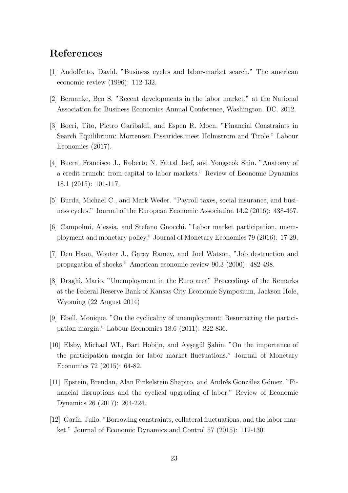### References

- [1] Andolfatto, David. "Business cycles and labor-market search." The american economic review (1996): 112-132.
- [2] Bernanke, Ben S. "Recent developments in the labor market." at the National Association for Business Economics Annual Conference, Washington, DC. 2012.
- [3] Boeri, Tito, Pietro Garibaldi, and Espen R. Moen. "Financial Constraints in Search Equilibrium: Mortensen Pissarides meet Holmstrom and Tirole." Labour Economics (2017).
- [4] Buera, Francisco J., Roberto N. Fattal Jaef, and Yongseok Shin. "Anatomy of a credit crunch: from capital to labor markets." Review of Economic Dynamics 18.1 (2015): 101-117.
- [5] Burda, Michael C., and Mark Weder. "Payroll taxes, social insurance, and business cycles." Journal of the European Economic Association 14.2 (2016): 438-467.
- [6] Campolmi, Alessia, and Stefano Gnocchi. "Labor market participation, unemployment and monetary policy." Journal of Monetary Economics 79 (2016): 17-29.
- [7] Den Haan, Wouter J., Garey Ramey, and Joel Watson. "Job destruction and propagation of shocks." American economic review 90.3 (2000): 482-498.
- [8] Draghi, Mario. "Unemployment in the Euro area" Proceedings of the Remarks at the Federal Reserve Bank of Kansas City Economic Symposium, Jackson Hole, Wyoming (22 August 2014)
- [9] Ebell, Monique. "On the cyclicality of unemployment: Resurrecting the participation margin." Labour Economics 18.6 (2011): 822-836.
- [10] Elsby, Michael WL, Bart Hobijn, and Ayşegül Sahin. "On the importance of the participation margin for labor market fluctuations." Journal of Monetary Economics 72 (2015): 64-82.
- [11] Epstein, Brendan, Alan Finkelstein Shapiro, and Andrés González Gómez. "Financial disruptions and the cyclical upgrading of labor." Review of Economic Dynamics 26 (2017): 204-224.
- [12] Garín, Julio. "Borrowing constraints, collateral fluctuations, and the labor market." Journal of Economic Dynamics and Control 57 (2015): 112-130.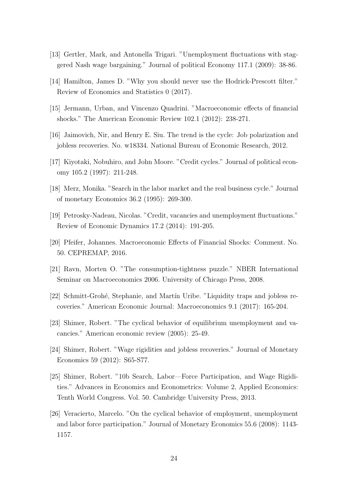- [13] Gertler, Mark, and Antonella Trigari. "Unemployment fluctuations with staggered Nash wage bargaining." Journal of political Economy 117.1 (2009): 38-86.
- [14] Hamilton, James D. "Why you should never use the Hodrick-Prescott filter." Review of Economics and Statistics 0 (2017).
- [15] Jermann, Urban, and Vincenzo Quadrini. "Macroeconomic effects of financial shocks." The American Economic Review 102.1 (2012): 238-271.
- [16] Jaimovich, Nir, and Henry E. Siu. The trend is the cycle: Job polarization and jobless recoveries. No. w18334. National Bureau of Economic Research, 2012.
- [17] Kiyotaki, Nobuhiro, and John Moore. "Credit cycles." Journal of political economy 105.2 (1997): 211-248.
- [18] Merz, Monika. "Search in the labor market and the real business cycle." Journal of monetary Economics 36.2 (1995): 269-300.
- [19] Petrosky-Nadeau, Nicolas. "Credit, vacancies and unemployment fluctuations." Review of Economic Dynamics 17.2 (2014): 191-205.
- [20] Pfeifer, Johannes. Macroeconomic Effects of Financial Shocks: Comment. No. 50. CEPREMAP, 2016.
- [21] Ravn, Morten O. "The consumption-tightness puzzle." NBER International Seminar on Macroeconomics 2006. University of Chicago Press, 2008.
- [22] Schmitt-Grohé, Stephanie, and Martín Uribe. "Liquidity traps and jobless recoveries." American Economic Journal: Macroeconomics 9.1 (2017): 165-204.
- [23] Shimer, Robert. "The cyclical behavior of equilibrium unemployment and vacancies." American economic review (2005): 25-49.
- [24] Shimer, Robert. "Wage rigidities and jobless recoveries." Journal of Monetary Economics 59 (2012): S65-S77.
- [25] Shimer, Robert. "10b Search, Labor—Force Participation, and Wage Rigidities." Advances in Economics and Econometrics: Volume 2, Applied Economics: Tenth World Congress. Vol. 50. Cambridge University Press, 2013.
- [26] Veracierto, Marcelo. "On the cyclical behavior of employment, unemployment and labor force participation." Journal of Monetary Economics 55.6 (2008): 1143- 1157.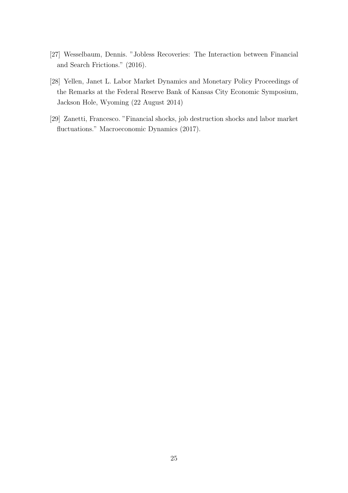- [27] Wesselbaum, Dennis. "Jobless Recoveries: The Interaction between Financial and Search Frictions." (2016).
- [28] Yellen, Janet L. Labor Market Dynamics and Monetary Policy Proceedings of the Remarks at the Federal Reserve Bank of Kansas City Economic Symposium, Jackson Hole, Wyoming (22 August 2014)
- [29] Zanetti, Francesco. "Financial shocks, job destruction shocks and labor market fluctuations." Macroeconomic Dynamics (2017).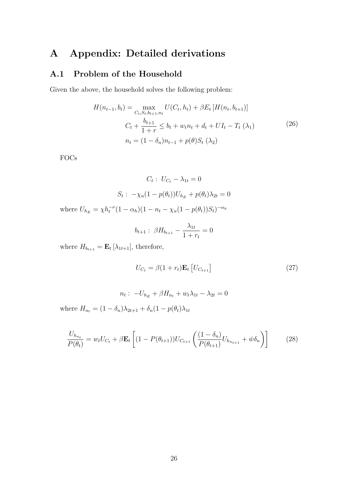## A Appendix: Detailed derivations

### A.1 Problem of the Household

Given the above, the household solves the following problem:

$$
H(n_{t-1}, b_t) = \max_{C_t, S_t, b_{t+1}, n_t} U(C_t, h_t) + \beta E_t [H(n_t, b_{t+1})]
$$
  

$$
C_t + \frac{b_{t+1}}{1+r} \le b_t + w_t n_t + d_t + U I_t - T_t (\lambda_1)
$$
 (26)  

$$
n_t = (1 - \delta_n) n_{t-1} + p(\theta) S_t (\lambda_2)
$$

FOCs

$$
C_t: U_{C_t} - \lambda_{1t} = 0
$$
  

$$
S_t: -\chi_u(1 - p(\theta_t))U_{h_E} + p(\theta_t)\lambda_{2t} = 0
$$
  
where  $U_{h_E} = \chi h_t^{-\nu}(1 - \alpha_h)(1 - n_t - \chi_u(1 - p(\theta_t))S_t)^{-\alpha_h}$ 

$$
b_{t+1} : \ \beta H_{b_{t+1}} - \frac{\lambda_{1t}}{1+r_t} = 0
$$

where  $H_{b_{t+1}} = \mathbf{E}_t [\lambda_{1t+1}],$  therefore,

$$
U_{C_t} = \beta (1 + r_t) \mathbf{E}_t \left[ U_{C_{t+1}} \right] \tag{27}
$$

$$
n_t: -U_{h_E} + \beta H_{n_t} + w_t \lambda_{1t} - \lambda_{2t} = 0
$$

$$
-\delta_n \lambda_{2t+1} + \delta_n (1 - p(\theta_t)\lambda_{1t})
$$

where  $H_{n_t} = (1 - \delta_n)\lambda_{2t+1} + \delta_n(1 - p(\theta_t)\lambda_{1t})$ 

$$
\frac{U_{h_{n_t}}}{P(\theta_t)} = w_t U_{C_t} + \beta \mathbf{E}_t \left[ (1 - P(\theta_{t+1})) U_{C_{t+1}} \left( \frac{(1 - \delta_n)}{P(\theta_{t+1})} U_{h_{n_{t+1}}} + \bar{w} \delta_n \right) \right]
$$
(28)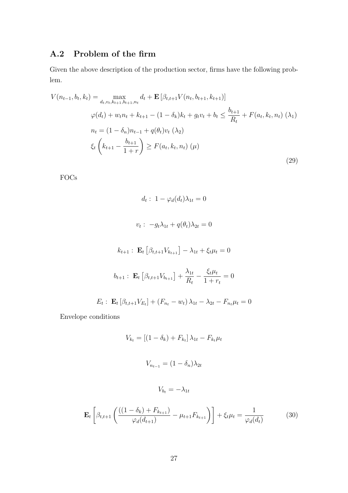### A.2 Problem of the firm

Given the above description of the production sector, firms have the following problem.

$$
V(n_{t-1}, b_t, k_t) = \max_{d_t, v_t, k_{t+1}, b_{t+1}, n_t} d_t + \mathbf{E} \left[ \beta_{t, t+1} V(n_t, b_{t+1}, k_{t+1}) \right]
$$
  
\n
$$
\varphi(d_t) + w_t n_t + k_{t+1} - (1 - \delta_k) k_t + g_t v_t + b_t \le \frac{b_{t+1}}{R_t} + F(a_t, k_t, n_t) \quad (\lambda_1)
$$
  
\n
$$
n_t = (1 - \delta_n) n_{t-1} + q(\theta_t) v_t \quad (\lambda_2)
$$
  
\n
$$
\xi_t \left( k_{t+1} - \frac{b_{t+1}}{1+r} \right) \ge F(a_t, k_t, n_t) \quad (\mu)
$$
  
\n(29)

FOCs

$$
d_t: 1 - \varphi_d(d_t)\lambda_{1t} = 0
$$
  

$$
v_t: -g_t\lambda_{1t} + q(\theta_t)\lambda_{2t} = 0
$$
  

$$
k_{t+1}: \mathbf{E}_t \left[ \beta_{t,t+1} V_{k_{t+1}} \right] - \lambda_{1t} + \xi_t \mu_t = 0
$$
  

$$
b_{t+1}: \mathbf{E}_t \left[ \beta_{t,t+1} V_{b_{t+1}} \right] + \frac{\lambda_{1t}}{R_t} - \frac{\xi_t \mu_t}{1 + r_t} = 0
$$
  

$$
E_t: \mathbf{E}_t \left[ \beta_{t,t+1} V_{E_t} \right] + \left( F_{n_t} - w_t \right) \lambda_{1t} - \lambda_{2t} - F_{n_t} \mu_t = 0
$$

Envelope conditions

$$
V_{k_t} = [(1 - \delta_k) + F_{k_t}] \lambda_{1t} - F_{k_t} \mu_t
$$

$$
V_{n_{t-1}} = (1 - \delta_n) \lambda_{2t}
$$

$$
V_{b_t} = -\lambda_{1t}
$$

$$
\mathbf{E}_t \left[ \beta_{t, t+1} \left( \frac{((1 - \delta_k) + F_{k_{t+1}})}{\varphi_d(d_{t+1})} - \mu_{t+1} F_{k_{t+1}} \right) \right] + \xi_t \mu_t = \frac{1}{\varphi_d(d_t)}
$$
(30)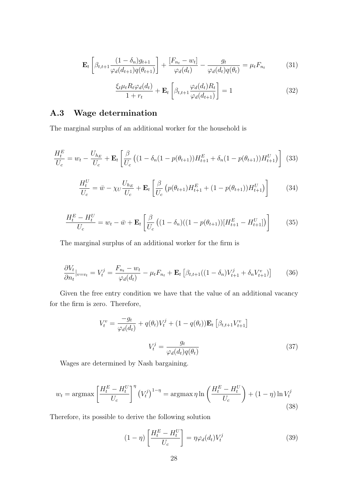$$
\mathbf{E}_{t}\left[\beta_{t,t+1}\frac{(1-\delta_{n})g_{t+1}}{\varphi_{d}(d_{t+1})q(\theta_{t+1})}\right] + \frac{[F_{n_{t}}-w_{t}]}{\varphi_{d}(d_{t})} - \frac{g_{t}}{\varphi_{d}(d_{t})q(\theta_{t})} = \mu_{t}F_{n_{t}}
$$
(31)

$$
\frac{\xi_t \mu_t R_t \varphi_d(d_t)}{1 + r_t} + \mathbf{E}_t \left[ \beta_{t,t+1} \frac{\varphi_d(d_t) R_t}{\varphi_d(d_{t+1})} \right] = 1 \tag{32}
$$

### A.3 Wage determination

The marginal surplus of an additional worker for the household is

$$
\frac{H_t^E}{U_c} = w_t - \frac{U_{h_E}}{U_c} + \mathbf{E}_t \left[ \frac{\beta}{U_c} \left( (1 - \delta_n (1 - p(\theta_{t+1})) H_{t+1}^E + \delta_n (1 - p(\theta_{t+1})) H_{t+1}^U \right) \right] (33)
$$

$$
\frac{H_t^U}{U_c} = \bar{w} - \chi_U \frac{U_{h_E}}{U_c} + \mathbf{E}_t \left[ \frac{\beta}{U_c} \left( p(\theta_{t+1}) H_{t+1}^E + (1 - p(\theta_{t+1})) H_{t+1}^U \right) \right]
$$
(34)

$$
\frac{H_t^E - H_t^U}{U_c} = w_t - \bar{w} + \mathbf{E}_t \left[ \frac{\beta}{U_c} \left( (1 - \delta_n)((1 - p(\theta_{t+1})) [H_{t+1}^E - H_{t+1}^U] \right) \right] \tag{35}
$$

The marginal surplus of an additional worker for the firm is

$$
\frac{\partial V_t}{\partial n_t}|_{v=v_t} = V_t^j = \frac{F_{n_t} - w_t}{\varphi_d(d_t)} - \mu_t F_{n_t} + \mathbf{E}_t \left[ \beta_{t,t+1}((1 - \delta_n)V_{t+1}^j + \delta_n V_{t+1}^v) \right] \tag{36}
$$

Given the free entry condition we have that the value of an additional vacancy for the firm is zero. Therefore,

$$
V_t^v = \frac{-g_t}{\varphi_d(d_t)} + q(\theta_t)V_t^j + (1 - q(\theta_t))\mathbf{E}_t \left[\beta_{t,t+1} V_{t+1}^v\right]
$$

$$
V_t^j = \frac{g_t}{\varphi_d(d_t)q(\theta_t)}
$$
(37)

Wages are determined by Nash bargaining.

$$
w_t = \operatorname{argmax}\left[\frac{H_t^E - H_t^U}{U_c}\right]^\eta \left(V_t^j\right)^{1-\eta} = \operatorname{argmax}\eta \ln\left(\frac{H_t^E - H_t^U}{U_c}\right) + (1-\eta)\ln V_t^j
$$
\n(38)

Therefore, its possible to derive the following solution

$$
(1 - \eta) \left[ \frac{H_t^E - H_t^U}{U_c} \right] = \eta \varphi_d(d_t) V_t^j \tag{39}
$$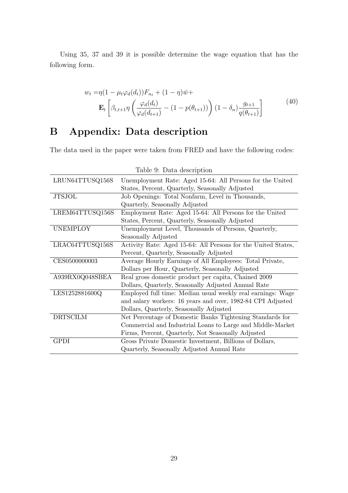Using 35, 37 and 39 it is possible determine the wage equation that has the following form.

$$
w_t = \eta (1 - \mu_t \varphi_d(d_t)) F_{n_t} + (1 - \eta) \bar{w} +
$$
  

$$
\mathbf{E}_t \left[ \beta_{t, t+1} \eta \left( \frac{\varphi_d(d_t)}{\varphi_d(d_{t+1})} - (1 - p(\theta_{t+1})) \right) (1 - \delta_n) \frac{g_{t+1}}{q(\theta_{t+1})} \right]
$$
(40)

## B Appendix: Data description

The data used in the paper were taken from FRED and have the following codes:

|                 | Table 9: Data description                                     |
|-----------------|---------------------------------------------------------------|
| LRUN64TTUSQ156S | Unemployment Rate: Aged 15-64: All Persons for the United     |
|                 | States, Percent, Quarterly, Seasonally Adjusted               |
| <b>JTSJOL</b>   | Job Openings: Total Nonfarm, Level in Thousands,              |
|                 | Quarterly, Seasonally Adjusted                                |
| LREM64TTUSQ156S | Employment Rate: Aged 15-64: All Persons for the United       |
|                 | States, Percent, Quarterly, Seasonally Adjusted               |
| <b>UNEMPLOY</b> | Unemployment Level, Thousands of Persons, Quarterly,          |
|                 | Seasonally Adjusted                                           |
| LRAC64TTUSQ156S | Activity Rate: Aged 15-64: All Persons for the United States, |
|                 | Percent, Quarterly, Seasonally Adjusted                       |
| CES0500000003   | Average Hourly Earnings of All Employees: Total Private,      |
|                 | Dollars per Hour, Quarterly, Seasonally Adjusted              |
| A939RX0Q048SBEA | Real gross domestic product per capita, Chained 2009          |
|                 | Dollars, Quarterly, Seasonally Adjusted Annual Rate           |
| LES1252881600Q  | Employed full time: Median usual weekly real earnings: Wage   |
|                 | and salary workers: 16 years and over, 1982-84 CPI Adjusted   |
|                 | Dollars, Quarterly, Seasonally Adjusted                       |
| <b>DRTSCILM</b> | Net Percentage of Domestic Banks Tightening Standards for     |
|                 | Commercial and Industrial Loans to Large and Middle-Market    |
|                 | Firms, Percent, Quarterly, Not Seasonally Adjusted            |
| GPDI            | Gross Private Domestic Investment, Billions of Dollars,       |
|                 | Quarterly, Seasonally Adjusted Annual Rate                    |

Table 0: Data description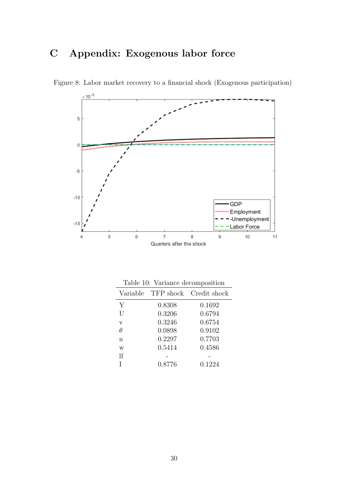## C Appendix: Exogenous labor force



Figure 8: Labor market recovery to a financial shock (Exogenous participation)

|                         | Lable 10. Variance decomposition |                                 |
|-------------------------|----------------------------------|---------------------------------|
|                         |                                  | Variable TFP shock Credit shock |
| Υ                       | 0.8308                           | 0.1692                          |
| $\overline{U}$          | 0.3206                           | 0.6794                          |
| $\overline{\mathbf{V}}$ | 0.3246                           | 0.6754                          |
| $\theta$                | 0.0898                           | 0.9102                          |
| n                       | 0.2297                           | 0.7703                          |
| W                       | 0.5414                           | 0.4586                          |
| $\mathcal{F}$           |                                  |                                 |
|                         | 0.8776                           | 0.1224                          |

Table 10: Variance decomposition